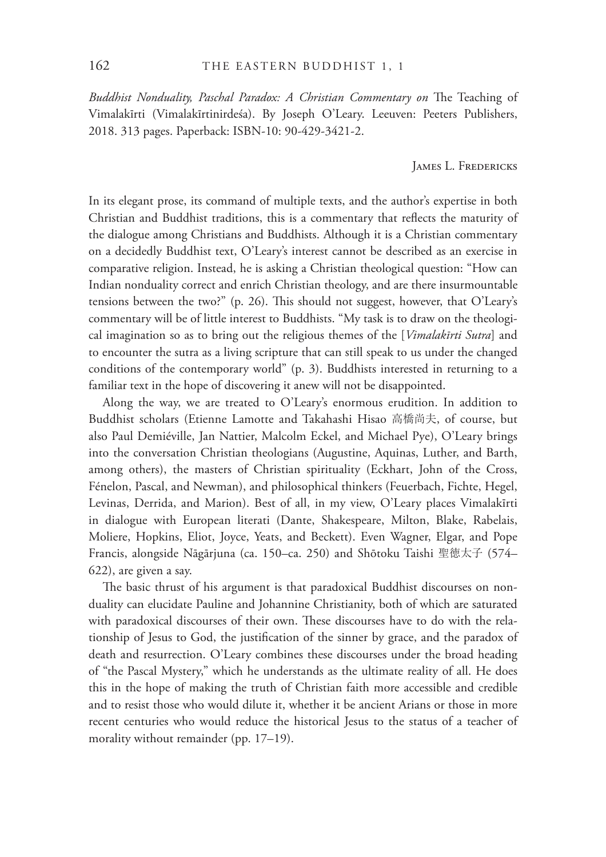*Buddhist Nonduality, Paschal Paradox: A Christian Commentary on The Teaching of* Vimalakīrti (Vimalakīrtinirdeśa). By Joseph O'Leary. Leeuven: Peeters Publishers, 2018. 313 pages. Paperback: ISBN-10: 90-429-3421-2.

JAMES L. FREDERICKS

In its elegant prose, its command of multiple texts, and the author's expertise in both Christian and Buddhist traditions, this is a commentary that reflects the maturity of the dialogue among Christians and Buddhists. Although it is a Christian commentary on a decidedly Buddhist text, O'Leary's interest cannot be described as an exercise in comparative religion. Instead, he is asking a Christian theological question: "How can Indian nonduality correct and enrich Christian theology, and are there insurmountable tensions between the two?" (p. 26). This should not suggest, however, that  $O'$ Leary's commentary will be of little interest to Buddhists. "My task is to draw on the theological imagination so as to bring out the religious themes of the [*Vimalakīrti Sutra*] and to encounter the sutra as a living scripture that can still speak to us under the changed conditions of the contemporary world" (p. 3). Buddhists interested in returning to a familiar text in the hope of discovering it anew will not be disappointed.

Along the way, we are treated to O'Leary's enormous erudition. In addition to Buddhist scholars (Etienne Lamotte and Takahashi Hisao 高橋尚夫, of course, but also Paul Demiéville, Jan Nattier, Malcolm Eckel, and Michael Pye), O'Leary brings into the conversation Christian theologians (Augustine, Aquinas, Luther, and Barth, among others), the masters of Christian spirituality (Eckhart, John of the Cross, Fénelon, Pascal, and Newman), and philosophical thinkers (Feuerbach, Fichte, Hegel, Levinas, Derrida, and Marion). Best of all, in my view, O'Leary places Vimalakīrti in dialogue with European literati (Dante, Shakespeare, Milton, Blake, Rabelais, Moliere, Hopkins, Eliot, Joyce, Yeats, and Beckett). Even Wagner, Elgar, and Pope Francis, alongside Nāgārjuna (ca. 150–ca. 250) and Shōtoku Taishi 聖徳太子 (574– 622), are given a say.

The basic thrust of his argument is that paradoxical Buddhist discourses on nonduality can elucidate Pauline and Johannine Christianity, both of which are saturated with paradoxical discourses of their own. These discourses have to do with the relationship of Jesus to God, the justification of the sinner by grace, and the paradox of death and resurrection. O'Leary combines these discourses under the broad heading of "the Pascal Mystery," which he understands as the ultimate reality of all. He does this in the hope of making the truth of Christian faith more accessible and credible and to resist those who would dilute it, whether it be ancient Arians or those in more recent centuries who would reduce the historical Jesus to the status of a teacher of morality without remainder (pp. 17–19).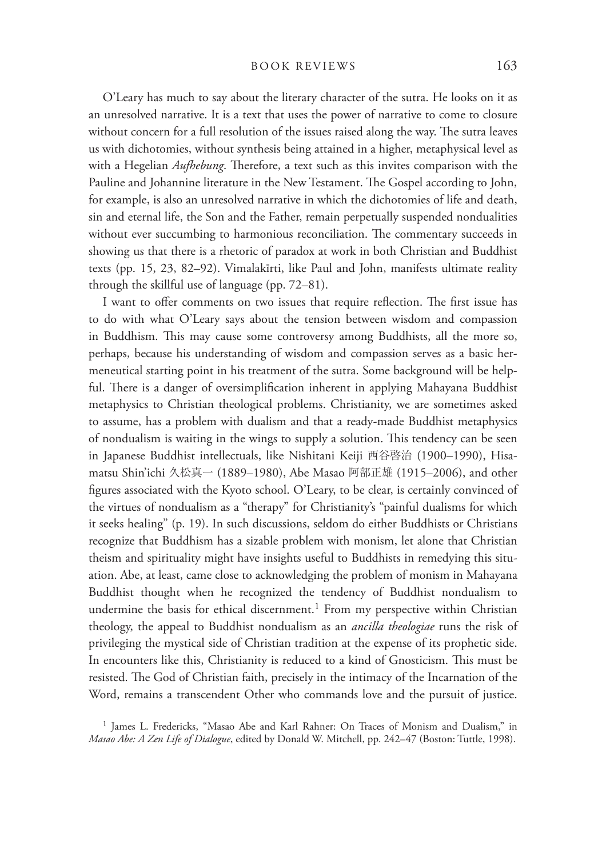## BOOK REVIEWS 163

O'Leary has much to say about the literary character of the sutra. He looks on it as an unresolved narrative. It is a text that uses the power of narrative to come to closure without concern for a full resolution of the issues raised along the way. The sutra leaves us with dichotomies, without synthesis being attained in a higher, metaphysical level as with a Hegelian *Aufhebung*. Therefore, a text such as this invites comparison with the Pauline and Johannine literature in the New Testament. The Gospel according to John, for example, is also an unresolved narrative in which the dichotomies of life and death, sin and eternal life, the Son and the Father, remain perpetually suspended nondualities without ever succumbing to harmonious reconciliation. The commentary succeeds in showing us that there is a rhetoric of paradox at work in both Christian and Buddhist texts (pp. 15, 23, 82–92). Vimalakīrti, like Paul and John, manifests ultimate reality through the skillful use of language (pp. 72–81).

I want to offer comments on two issues that require reflection. The first issue has to do with what O'Leary says about the tension between wisdom and compassion in Buddhism. This may cause some controversy among Buddhists, all the more so, perhaps, because his understanding of wisdom and compassion serves as a basic hermeneutical starting point in his treatment of the sutra. Some background will be helpful. There is a danger of oversimplification inherent in applying Mahayana Buddhist metaphysics to Christian theological problems. Christianity, we are sometimes asked to assume, has a problem with dualism and that a ready-made Buddhist metaphysics of nondualism is waiting in the wings to supply a solution. This tendency can be seen in Japanese Buddhist intellectuals, like Nishitani Keiji 西谷啓治 (1900–1990), Hisamatsu Shin'ichi 久松真一 (1889–1980), Abe Masao 阿部正雄 (1915–2006), and other figures associated with the Kyoto school. O'Leary, to be clear, is certainly convinced of the virtues of nondualism as a "therapy" for Christianity's "painful dualisms for which it seeks healing" (p. 19). In such discussions, seldom do either Buddhists or Christians recognize that Buddhism has a sizable problem with monism, let alone that Christian theism and spirituality might have insights useful to Buddhists in remedying this situation. Abe, at least, came close to acknowledging the problem of monism in Mahayana Buddhist thought when he recognized the tendency of Buddhist nondualism to undermine the basis for ethical discernment.<sup>1</sup> From my perspective within Christian theology, the appeal to Buddhist nondualism as an *ancilla theologiae* runs the risk of privileging the mystical side of Christian tradition at the expense of its prophetic side. In encounters like this, Christianity is reduced to a kind of Gnosticism. This must be resisted. The God of Christian faith, precisely in the intimacy of the Incarnation of the Word, remains a transcendent Other who commands love and the pursuit of justice.

1 James L. Fredericks, "Masao Abe and Karl Rahner: On Traces of Monism and Dualism," in *Masao Abe: A Zen Life of Dialogue*, edited by Donald W. Mitchell, pp. 242–47 (Boston: Tuttle, 1998).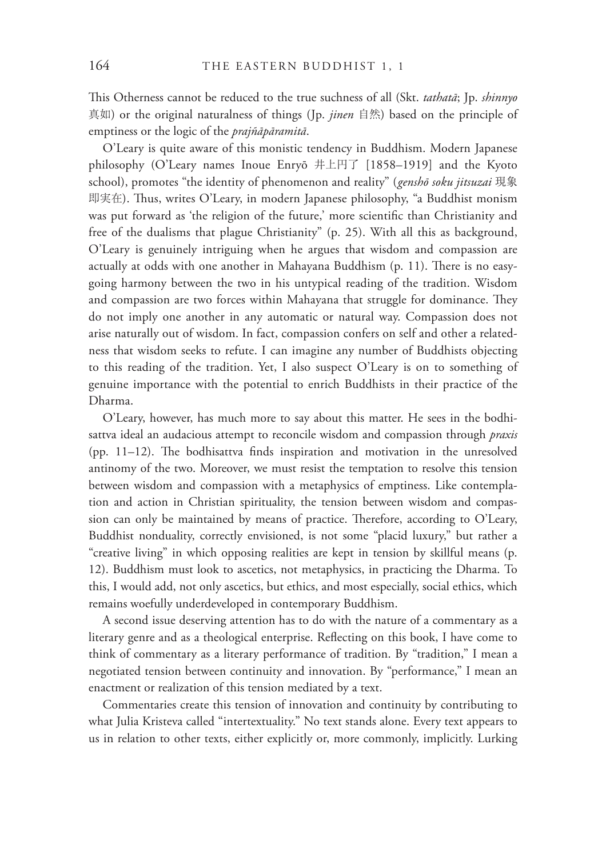!is Otherness cannot be reduced to the true suchness of all (Skt. *tathatā*; Jp. *shinnyo*  真如) or the original naturalness of things (Jp. *jinen* 自然) based on the principle of emptiness or the logic of the *prajñāpāramitā*.

O'Leary is quite aware of this monistic tendency in Buddhism. Modern Japanese philosophy (O'Leary names Inoue Enryō 井上円了 [1858–1919] and the Kyoto school), promotes "the identity of phenomenon and reality" (*genshō soku jitsuzai* 現象 即実在). Thus, writes O'Leary, in modern Japanese philosophy, "a Buddhist monism was put forward as 'the religion of the future,' more scientific than Christianity and free of the dualisms that plague Christianity" (p. 25). With all this as background, O'Leary is genuinely intriguing when he argues that wisdom and compassion are actually at odds with one another in Mahayana Buddhism (p. 11). There is no easygoing harmony between the two in his untypical reading of the tradition. Wisdom and compassion are two forces within Mahayana that struggle for dominance. They do not imply one another in any automatic or natural way. Compassion does not arise naturally out of wisdom. In fact, compassion confers on self and other a relatedness that wisdom seeks to refute. I can imagine any number of Buddhists objecting to this reading of the tradition. Yet, I also suspect O'Leary is on to something of genuine importance with the potential to enrich Buddhists in their practice of the Dharma.

O'Leary, however, has much more to say about this matter. He sees in the bodhisattva ideal an audacious attempt to reconcile wisdom and compassion through *praxis* (pp.  $11-12$ ). The bodhisattva finds inspiration and motivation in the unresolved antinomy of the two. Moreover, we must resist the temptation to resolve this tension between wisdom and compassion with a metaphysics of emptiness. Like contemplation and action in Christian spirituality, the tension between wisdom and compassion can only be maintained by means of practice. Therefore, according to O'Leary, Buddhist nonduality, correctly envisioned, is not some "placid luxury," but rather a "creative living" in which opposing realities are kept in tension by skillful means (p. 12). Buddhism must look to ascetics, not metaphysics, in practicing the Dharma. To this, I would add, not only ascetics, but ethics, and most especially, social ethics, which remains woefully underdeveloped in contemporary Buddhism.

A second issue deserving attention has to do with the nature of a commentary as a literary genre and as a theological enterprise. Reflecting on this book, I have come to think of commentary as a literary performance of tradition. By "tradition," I mean a negotiated tension between continuity and innovation. By "performance," I mean an enactment or realization of this tension mediated by a text.

Commentaries create this tension of innovation and continuity by contributing to what Julia Kristeva called "intertextuality." No text stands alone. Every text appears to us in relation to other texts, either explicitly or, more commonly, implicitly. Lurking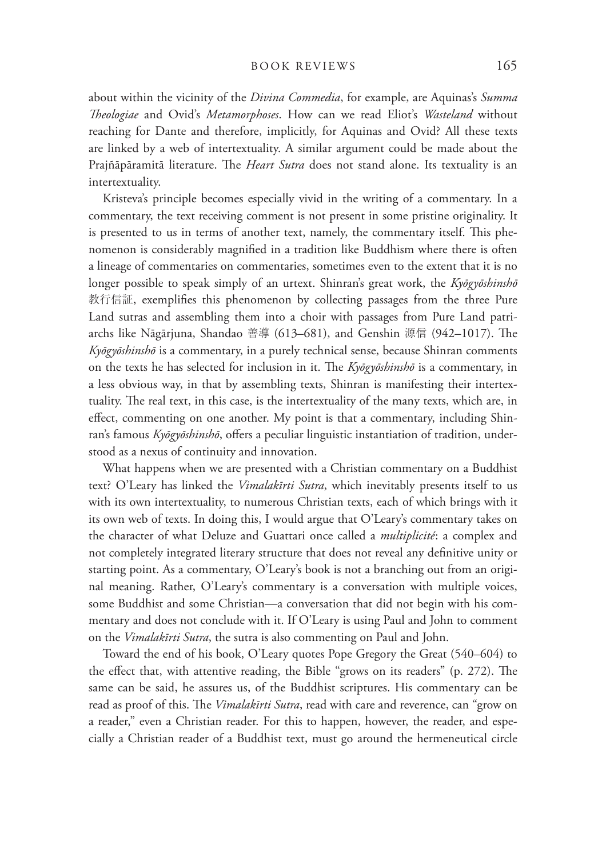## BOOK REVIEWS 165

about within the vicinity of the *Divina Commedia*, for example, are Aquinas's *Summa !eologiae* and Ovid's *Metamorphoses*. How can we read Eliot's *Wasteland* without reaching for Dante and therefore, implicitly, for Aquinas and Ovid? All these texts are linked by a web of intertextuality. A similar argument could be made about the Prajñāpāramitā literature. The *Heart Sutra* does not stand alone. Its textuality is an intertextuality.

Kristeva's principle becomes especially vivid in the writing of a commentary. In a commentary, the text receiving comment is not present in some pristine originality. It is presented to us in terms of another text, namely, the commentary itself. This phenomenon is considerably magnified in a tradition like Buddhism where there is often a lineage of commentaries on commentaries, sometimes even to the extent that it is no longer possible to speak simply of an urtext. Shinran's great work, the *Kyōgyōshinshō* 教行信証, exemplifies this phenomenon by collecting passages from the three Pure Land sutras and assembling them into a choir with passages from Pure Land patriarchs like Nāgārjuna, Shandao 善導 (613–681), and Genshin 源信 (942–1017). The *Kyōgyōshinshō* is a commentary, in a purely technical sense, because Shinran comments on the texts he has selected for inclusion in it. The *Kyōgyōshinshō* is a commentary, in a less obvious way, in that by assembling texts, Shinran is manifesting their intertextuality. The real text, in this case, is the intertextuality of the many texts, which are, in effect, commenting on one another. My point is that a commentary, including Shinran's famous *Kyōgyōshinshō*, offers a peculiar linguistic instantiation of tradition, understood as a nexus of continuity and innovation.

What happens when we are presented with a Christian commentary on a Buddhist text? O'Leary has linked the *Vimalakīrti Sutra*, which inevitably presents itself to us with its own intertextuality, to numerous Christian texts, each of which brings with it its own web of texts. In doing this, I would argue that O'Leary's commentary takes on the character of what Deluze and Guattari once called a *multiplicité*: a complex and not completely integrated literary structure that does not reveal any definitive unity or starting point. As a commentary, O'Leary's book is not a branching out from an original meaning. Rather, O'Leary's commentary is a conversation with multiple voices, some Buddhist and some Christian—a conversation that did not begin with his commentary and does not conclude with it. If O'Leary is using Paul and John to comment on the *Vimalakīrti Sutra*, the sutra is also commenting on Paul and John.

Toward the end of his book, O'Leary quotes Pope Gregory the Great (540–604) to the effect that, with attentive reading, the Bible "grows on its readers" (p. 272). The same can be said, he assures us, of the Buddhist scriptures. His commentary can be read as proof of this. The *Vimalakīrti Sutra*, read with care and reverence, can "grow on a reader," even a Christian reader. For this to happen, however, the reader, and especially a Christian reader of a Buddhist text, must go around the hermeneutical circle